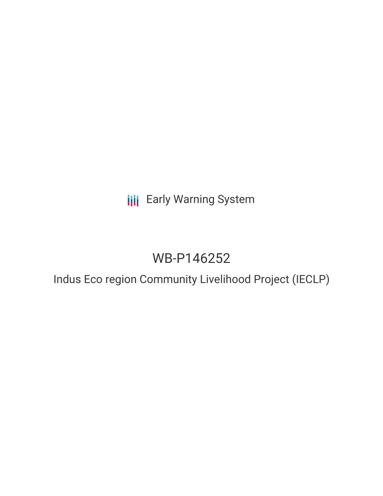**III** Early Warning System

# WB-P146252

Indus Eco region Community Livelihood Project (IECLP)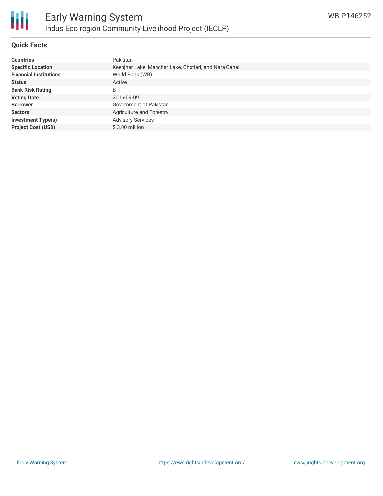

## **Quick Facts**

| <b>Countries</b>              | Pakistan                                              |
|-------------------------------|-------------------------------------------------------|
| <b>Specific Location</b>      | Keenjhar Lake, Manchar Lake, Chotiari, and Nara Canal |
| <b>Financial Institutions</b> | World Bank (WB)                                       |
| <b>Status</b>                 | Active                                                |
| <b>Bank Risk Rating</b>       | B                                                     |
| <b>Voting Date</b>            | 2016-09-09                                            |
| <b>Borrower</b>               | <b>Government of Pakistan</b>                         |
| <b>Sectors</b>                | <b>Agriculture and Forestry</b>                       |
| <b>Investment Type(s)</b>     | <b>Advisory Services</b>                              |
| <b>Project Cost (USD)</b>     | $$3.00$ million                                       |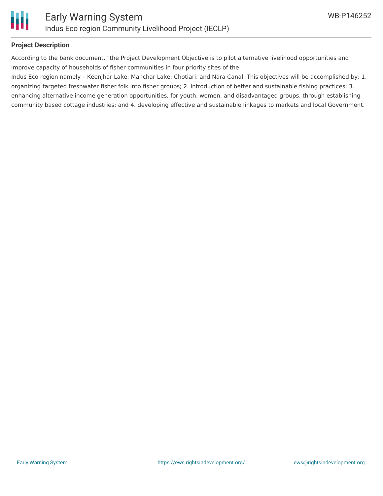

## **Project Description**

According to the bank document, "the Project Development Objective is to pilot alternative livelihood opportunities and improve capacity of households of fisher communities in four priority sites of the

Indus Eco region namely – Keenjhar Lake; Manchar Lake; Chotiari; and Nara Canal. This objectives will be accomplished by: 1. organizing targeted freshwater fisher folk into fisher groups; 2. introduction of better and sustainable fishing practices; 3. enhancing alternative income generation opportunities, for youth, women, and disadvantaged groups, through establishing community based cottage industries; and 4. developing effective and sustainable linkages to markets and local Government.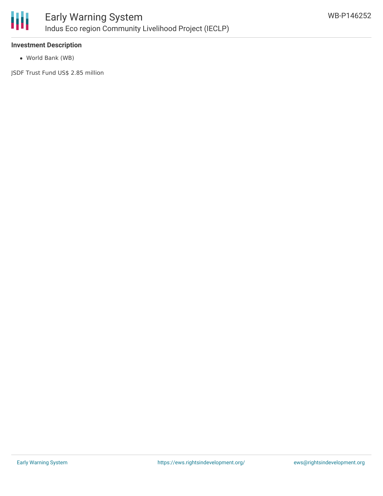

#### **Investment Description**

World Bank (WB)

JSDF Trust Fund US\$ 2.85 million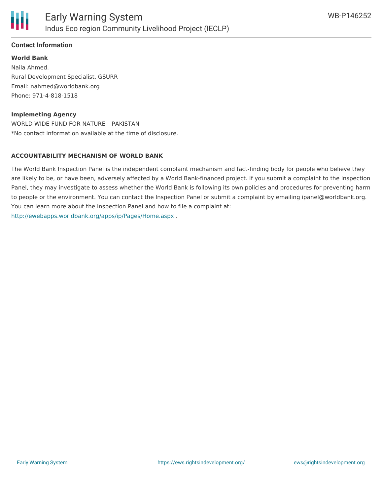

## **Contact Information**

**World Bank** Naila Ahmed. Rural Development Specialist, GSURR Email: nahmed@worldbank.org Phone: 971-4-818-1518

#### **Implemeting Agency**

WORLD WIDE FUND FOR NATURE – PAKISTAN \*No contact information available at the time of disclosure.

#### **ACCOUNTABILITY MECHANISM OF WORLD BANK**

The World Bank Inspection Panel is the independent complaint mechanism and fact-finding body for people who believe they are likely to be, or have been, adversely affected by a World Bank-financed project. If you submit a complaint to the Inspection Panel, they may investigate to assess whether the World Bank is following its own policies and procedures for preventing harm to people or the environment. You can contact the Inspection Panel or submit a complaint by emailing ipanel@worldbank.org. You can learn more about the Inspection Panel and how to file a complaint at: <http://ewebapps.worldbank.org/apps/ip/Pages/Home.aspx> .